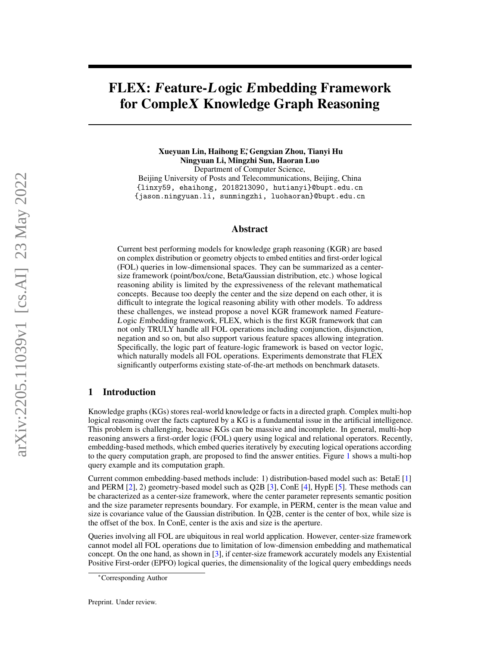# FLEX: Feature-Logic Embedding Framework for CompleX Knowledge Graph Reasoning

Xueyuan Lin, Haihong E<sup>∗</sup> , Gengxian Zhou, Tianyi Hu Ningyuan Li, Mingzhi Sun, Haoran Luo Department of Computer Science, Beijing University of Posts and Telecommunications, Beijing, China {linxy59, ehaihong, 2018213090, hutianyi}@bupt.edu.cn {jason.ningyuan.li, sunmingzhi, luohaoran}@bupt.edu.cn

# Abstract

Current best performing models for knowledge graph reasoning (KGR) are based on complex distribution or geometry objects to embed entities and first-order logical (FOL) queries in low-dimensional spaces. They can be summarized as a centersize framework (point/box/cone, Beta/Gaussian distribution, etc.) whose logical reasoning ability is limited by the expressiveness of the relevant mathematical concepts. Because too deeply the center and the size depend on each other, it is difficult to integrate the logical reasoning ability with other models. To address these challenges, we instead propose a novel KGR framework named Feature-Logic Embedding framework, FLEX, which is the first KGR framework that can not only TRULY handle all FOL operations including conjunction, disjunction, negation and so on, but also support various feature spaces allowing integration. Specifically, the logic part of feature-logic framework is based on vector logic, which naturally models all FOL operations. Experiments demonstrate that FLEX significantly outperforms existing state-of-the-art methods on benchmark datasets.

# <span id="page-0-0"></span>1 Introduction

Knowledge graphs (KGs) stores real-world knowledge or facts in a directed graph. Complex multi-hop logical reasoning over the facts captured by a KG is a fundamental issue in the artificial intelligence. This problem is challenging, because KGs can be massive and incomplete. In general, multi-hop reasoning answers a first-order logic (FOL) query using logical and relational operators. Recently, embedding-based methods, which embed queries iteratively by executing logical operations according to the query computation graph, are proposed to find the answer entities. Figure [1](#page-1-0) shows a multi-hop query example and its computation graph.

Current common embedding-based methods include: 1) distribution-based model such as: BetaE [\[1\]](#page-9-0) and PERM [\[2\]](#page-9-1), 2) geometry-based model such as Q2B [\[3\]](#page-9-2), ConE [\[4\]](#page-9-3), HypE [\[5\]](#page-9-4). These methods can be characterized as a center-size framework, where the center parameter represents semantic position and the size parameter represents boundary. For example, in PERM, center is the mean value and size is covariance value of the Gaussian distribution. In Q2B, center is the center of box, while size is the offset of the box. In ConE, center is the axis and size is the aperture.

Queries involving all FOL are ubiquitous in real world application. However, center-size framework cannot model all FOL operations due to limitation of low-dimension embedding and mathematical concept. On the one hand, as shown in [\[3\]](#page-9-2), if center-size framework accurately models any Existential Positive First-order (EPFO) logical queries, the dimensionality of the logical query embeddings needs

<sup>∗</sup>Corresponding Author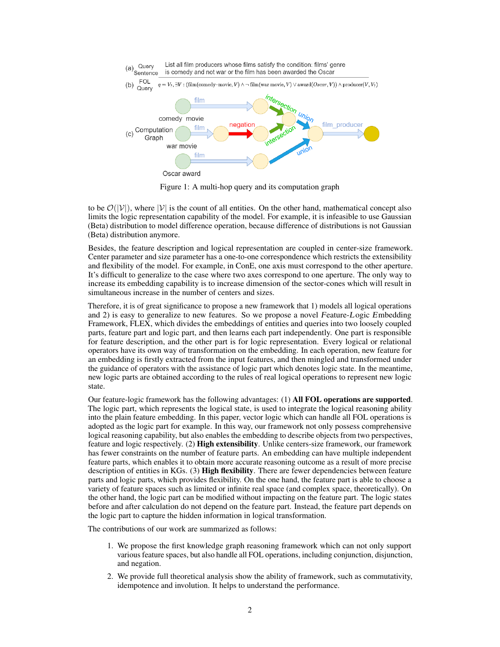<span id="page-1-0"></span>

Figure 1: A multi-hop query and its computation graph

to be  $\mathcal{O}(|\mathcal{V}|)$ , where  $|\mathcal{V}|$  is the count of all entities. On the other hand, mathematical concept also limits the logic representation capability of the model. For example, it is infeasible to use Gaussian (Beta) distribution to model difference operation, because difference of distributions is not Gaussian (Beta) distribution anymore.

Besides, the feature description and logical representation are coupled in center-size framework. Center parameter and size parameter has a one-to-one correspondence which restricts the extensibility and flexibility of the model. For example, in ConE, one axis must correspond to the other aperture. It's difficult to generalize to the case where two axes correspond to one aperture. The only way to increase its embedding capability is to increase dimension of the sector-cones which will result in simultaneous increase in the number of centers and sizes.

Therefore, it is of great significance to propose a new framework that 1) models all logical operations and 2) is easy to generalize to new features. So we propose a novel Feature-Logic Embedding Framework, FLEX, which divides the embeddings of entities and queries into two loosely coupled parts, feature part and logic part, and then learns each part independently. One part is responsible for feature description, and the other part is for logic representation. Every logical or relational operators have its own way of transformation on the embedding. In each operation, new feature for an embedding is firstly extracted from the input features, and then mingled and transformed under the guidance of operators with the assistance of logic part which denotes logic state. In the meantime, new logic parts are obtained according to the rules of real logical operations to represent new logic state.

Our feature-logic framework has the following advantages: (1) All FOL operations are supported. The logic part, which represents the logical state, is used to integrate the logical reasoning ability into the plain feature embedding. In this paper, vector logic which can handle all FOL operations is adopted as the logic part for example. In this way, our framework not only possess comprehensive logical reasoning capability, but also enables the embedding to describe objects from two perspectives, feature and logic respectively. (2) **High extensibility**. Unlike centers-size framework, our framework has fewer constraints on the number of feature parts. An embedding can have multiple independent feature parts, which enables it to obtain more accurate reasoning outcome as a result of more precise description of entities in KGs. (3) High flexibility. There are fewer dependencies between feature parts and logic parts, which provides flexibility. On the one hand, the feature part is able to choose a variety of feature spaces such as limited or infinite real space (and complex space, theoretically). On the other hand, the logic part can be modified without impacting on the feature part. The logic states before and after calculation do not depend on the feature part. Instead, the feature part depends on the logic part to capture the hidden information in logical transformation.

The contributions of our work are summarized as follows:

- 1. We propose the first knowledge graph reasoning framework which can not only support various feature spaces, but also handle all FOL operations, including conjunction, disjunction, and negation.
- 2. We provide full theoretical analysis show the ability of framework, such as commutativity, idempotence and involution. It helps to understand the performance.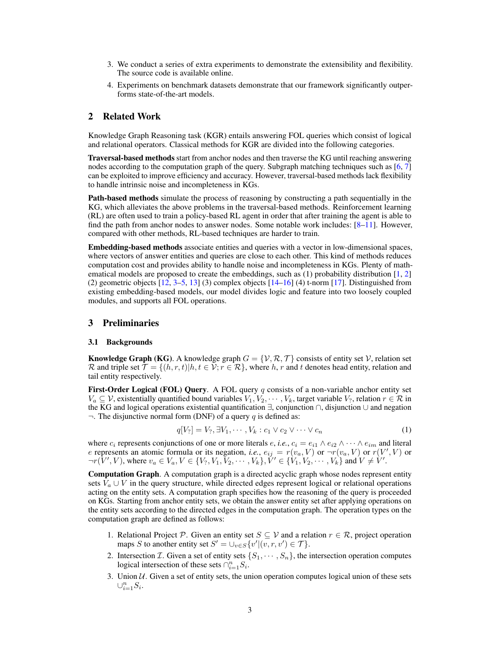- 3. We conduct a series of extra experiments to demonstrate the extensibility and flexibility. The source code is available online.
- 4. Experiments on benchmark datasets demonstrate that our framework significantly outperforms state-of-the-art models.

# 2 Related Work

Knowledge Graph Reasoning task (KGR) entails answering FOL queries which consist of logical and relational operators. Classical methods for KGR are divided into the following categories.

Traversal-based methods start from anchor nodes and then traverse the KG until reaching answering nodes according to the computation graph of the query. Subgraph matching techniques such as [\[6,](#page-9-5) [7\]](#page-9-6) can be exploited to improve efficiency and accuracy. However, traversal-based methods lack flexibility to handle intrinsic noise and incompleteness in KGs.

Path-based methods simulate the process of reasoning by constructing a path sequentially in the KG, which alleviates the above problems in the traversal-based methods. Reinforcement learning (RL) are often used to train a policy-based RL agent in order that after training the agent is able to find the path from anchor nodes to answer nodes. Some notable work includes:  $[8-11]$  $[8-11]$ . However, compared with other methods, RL-based techniques are harder to train.

Embedding-based methods associate entities and queries with a vector in low-dimensional spaces, where vectors of answer entities and queries are close to each other. This kind of methods reduces computation cost and provides ability to handle noise and incompleteness in KGs. Plenty of mathematical models are proposed to create the embeddings, such as  $(1)$  probability distribution  $[1, 2]$  $[1, 2]$  $[1, 2]$ (2) geometric objects  $[12, 3-5, 13]$  $[12, 3-5, 13]$  $[12, 3-5, 13]$  $[12, 3-5, 13]$  $[12, 3-5, 13]$  (3) complex objects  $[14-16]$  $[14-16]$  (4) t-norm [\[17\]](#page-9-13). Distinguished from existing embedding-based models, our model divides logic and feature into two loosely coupled modules, and supports all FOL operations.

# 3 Preliminaries

#### 3.1 Backgrounds

**Knowledge Graph (KG)**. A knowledge graph  $G = \{V, R, T\}$  consists of entity set V, relation set R and triple set  $\mathcal{T} = \{(h, r, t) | h, t \in \mathcal{V}; r \in \mathcal{R}\}\$ , where h, r and t denotes head entity, relation and tail entity respectively.

First-Order Logical (FOL) Query. A FOL query q consists of a non-variable anchor entity set  $V_a \subseteq V$ , existentially quantified bound variables  $V_1, V_2, \cdots, V_k$ , target variable  $V_?$ , relation  $r \in \mathcal{R}$  in the KG and logical operations existential quantification ∃, conjunction ∩, disjunction ∪ and negation  $\neg$ . The disjunctive normal form (DNF) of a query q is defined as:

$$
q[V_?] = V_?, \exists V_1, \cdots, V_k : c_1 \vee c_2 \vee \cdots \vee c_n \tag{1}
$$

where  $c_i$  represents conjunctions of one or more literals  $e, i.e., c_i = e_{i1} \wedge e_{i2} \wedge \cdots \wedge e_{im}$  and literal e represents an atomic formula or its negation, *i.e.*,  $e_{ij} = r(v_a, V)$  or  $\neg r(v_a, V)$  or  $r(V', V)$  or  $\neg r(\hat{V}', V)$ , where  $v_a \in V_a, V \in \{V_?, V_1, V_2, \cdots, V_k\}, \check{V}' \in \{\hat{V}_1, V_2, \cdots, V_k\}$  and  $V \neq \check{V}'$ .

Computation Graph. A computation graph is a directed acyclic graph whose nodes represent entity sets  $V_a \cup V$  in the query structure, while directed edges represent logical or relational operations acting on the entity sets. A computation graph specifies how the reasoning of the query is proceeded on KGs. Starting from anchor entity sets, we obtain the answer entity set after applying operations on the entity sets according to the directed edges in the computation graph. The operation types on the computation graph are defined as follows:

- 1. Relational Project P. Given an entity set  $S \subseteq V$  and a relation  $r \in \mathcal{R}$ , project operation maps S to another entity set  $S' = \bigcup_{v \in S} \{v' | (v, r, v') \in \mathcal{T}\}.$
- 2. Intersection *T*. Given a set of entity sets  $\{S_1, \dots, S_n\}$ , the intersection operation computes logical intersection of these sets  $\cap_{i=1}^n S_i$ .
- 3. Union  $U$ . Given a set of entity sets, the union operation computes logical union of these sets  $\cup_{i=1}^n S_i$ .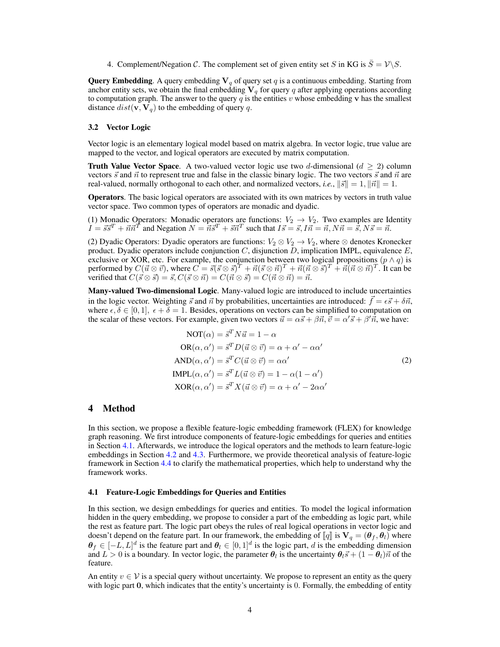4. Complement/Negation C. The complement set of given entity set S in KG is  $\overline{S} = \mathcal{V} \backslash S$ .

**Query Embedding.** A query embedding  $V_q$  of query set q is a continuous embedding. Starting from anchor entity sets, we obtain the final embedding  $V_q$  for query q after applying operations according to computation graph. The answer to the query  $q$  is the entities v whose embedding v has the smallest distance  $dist(\mathbf{v}, \mathbf{V}_q)$  to the embedding of query q.

#### 3.2 Vector Logic

Vector logic is an elementary logical model based on matrix algebra. In vector logic, true value are mapped to the vector, and logical operators are executed by matrix computation.

**Truth Value Vector Space.** A two-valued vector logic use two d-dimensional ( $d \ge 2$ ) column vectors  $\vec{s}$  and  $\vec{n}$  to represent true and false in the classic binary logic. The two vectors  $\vec{s}$  and  $\vec{n}$  are real-valued, normally orthogonal to each other, and normalized vectors, *i.e.*,  $\|\vec{s}\| = 1$ ,  $\|\vec{n}\| = 1$ .

Operators. The basic logical operators are associated with its own matrices by vectors in truth value vector space. Two common types of operators are monadic and dyadic.

(1) Monadic Operators: Monadic operators are functions:  $V_2 \rightarrow V_2$ . Two examples are Identity  $I = \vec{s}\vec{s}^T + \vec{n}\vec{n}^T$  and Negation  $N = \vec{n}\vec{s}^T + \vec{s}\vec{n}^T$  such that  $I\vec{s} = \vec{s}, I\vec{n} = \vec{n}, N\vec{n} = \vec{s}, N\vec{s} = \vec{n}$ .

(2) Dyadic Operators: Dyadic operators are functions:  $V_2 \otimes V_2 \rightarrow V_2$ , where  $\otimes$  denotes Kronecker product. Dyadic operators include conjunction  $C$ , disjunction  $D$ , implication IMPL, equivalence  $E$ , exclusive or XOR, etc. For example, the conjunction between two logical propositions  $(p \land q)$  is performed by  $C(\vec{u} \otimes \vec{v})$ , where  $C = \vec{s}(\vec{s} \otimes \vec{s})^T + \vec{n}(\vec{s} \otimes \vec{n})^T + \vec{n}(\vec{n} \otimes \vec{s})^T + \vec{n}(\vec{n} \otimes \vec{n})^T$ . It can be verified that  $C(\vec{s} \otimes \vec{s}) = \vec{s}, C(\vec{s} \otimes \vec{n}) = C(\vec{n} \otimes \vec{s}) = C(\vec{n} \otimes \vec{n}) = \vec{n}$ .

Many-valued Two-dimensional Logic. Many-valued logic are introduced to include uncertainties in the logic vector. Weighting  $\vec{s}$  and  $\vec{n}$  by probabilities, uncertainties are introduced:  $\vec{f} = \epsilon \vec{s} + \delta \vec{n}$ , where  $\epsilon, \delta \in [0, 1], \epsilon + \delta = 1$ . Besides, operations on vectors can be simplified to computation on the scalar of these vectors. For example, given two vectors  $\vec{u} = \alpha \vec{s} + \beta \vec{n}, \vec{v} = \alpha' \vec{s} + \beta' \vec{n}$ , we have:

<span id="page-3-1"></span>
$$
NOT(\alpha) = \vec{s}^T N \vec{u} = 1 - \alpha
$$
  
\n
$$
OR(\alpha, \alpha') = \vec{s}^T D(\vec{u} \otimes \vec{v}) = \alpha + \alpha' - \alpha \alpha'
$$
  
\n
$$
AND(\alpha, \alpha') = \vec{s}^T C(\vec{u} \otimes \vec{v}) = \alpha \alpha'
$$
  
\n
$$
IMPL(\alpha, \alpha') = \vec{s}^T L(\vec{u} \otimes \vec{v}) = 1 - \alpha(1 - \alpha')
$$
  
\n
$$
XOR(\alpha, \alpha') = \vec{s}^T X(\vec{u} \otimes \vec{v}) = \alpha + \alpha' - 2\alpha \alpha'
$$
\n(2)

# 4 Method

In this section, we propose a flexible feature-logic embedding framework (FLEX) for knowledge graph reasoning. We first introduce components of feature-logic embeddings for queries and entities in Section [4.1.](#page-3-0) Afterwards, we introduce the logical operators and the methods to learn feature-logic embeddings in Section [4.2](#page-4-0) and [4.3.](#page-5-0) Furthermore, we provide theoretical analysis of feature-logic framework in Section [4.4](#page-5-1) to clarify the mathematical properties, which help to understand why the framework works.

### <span id="page-3-0"></span>4.1 Feature-Logic Embeddings for Queries and Entities

In this section, we design embeddings for queries and entities. To model the logical information hidden in the query embedding, we propose to consider a part of the embedding as logic part, while the rest as feature part. The logic part obeys the rules of real logical operations in vector logic and doesn't depend on the feature part. In our framework, the embedding of  $\llbracket q \rrbracket$  is  $\mathbf{V}_q = (\theta_f, \theta_l)$  where  $\theta_f \in [-L, L]^d$  is the feature part and  $\theta_l \in [0, 1]^d$  is the logic part, d is the embedding dimension and  $L > 0$  is a boundary. In vector logic, the parameter  $\theta_l$  is the uncertainty  $\theta_l \vec{s} + (1 - \theta_l)\vec{n}$  of the feature.

An entity  $v \in V$  is a special query without uncertainty. We propose to represent an entity as the query with logic part 0, which indicates that the entity's uncertainty is 0. Formally, the embedding of entity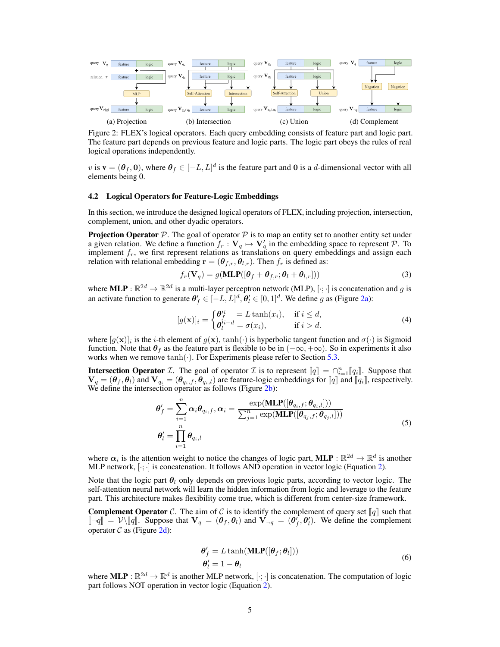<span id="page-4-1"></span>

Figure 2: FLEX's logical operators. Each query embedding consists of feature part and logic part. The feature part depends on previous feature and logic parts. The logic part obeys the rules of real logical operations independently.

v is  $\mathbf{v} = (\theta_f, \mathbf{0})$ , where  $\theta_f \in [-L, L]^d$  is the feature part and 0 is a d-dimensional vector with all elements being 0.

### <span id="page-4-0"></span>4.2 Logical Operators for Feature-Logic Embeddings

In this section, we introduce the designed logical operators of FLEX, including projection, intersection, complement, union, and other dyadic operators.

**Projection Operator** P. The goal of operator P is to map an entity set to another entity set under a given relation. We define a function  $f_r: V_q \mapsto V'_q$  in the embedding space to represent  $P$ . To implement  $f_r$ , we first represent relations as translations on query embeddings and assign each relation with relational embedding  $\mathbf{r} = (\theta_{f,r}, \theta_{l,r})$ . Then  $f_r$  is defined as:

$$
f_r(\mathbf{V}_q) = g(\mathbf{MLP}([\boldsymbol{\theta}_f + \boldsymbol{\theta}_{f,r}; \boldsymbol{\theta}_l + \boldsymbol{\theta}_{l,r}]))
$$
\n(3)

where **MLP** :  $\mathbb{R}^{2d} \to \mathbb{R}^{2d}$  is a multi-layer perceptron network (MLP),  $[\cdot; \cdot]$  is concatenation and g is an activate function to generate  $\theta'_{f} \in [-L, L]^d$ ,  $\theta'_{l} \in [0, 1]^d$ . We define g as (Figure [2a\)](#page-4-1):

$$
[g(\mathbf{x})]_i = \begin{cases} \theta_f^i = L \tanh(x_i), & \text{if } i \leq d, \\ \theta_l^{i-d} = \sigma(x_i), & \text{if } i > d. \end{cases}
$$
 (4)

where  $[g(x)]_i$  is the *i*-th element of  $g(x)$ ,  $\tanh(\cdot)$  is hyperbolic tangent function and  $\sigma(\cdot)$  is Sigmoid function. Note that  $\theta_f$  as the feature part is flexible to be in  $(-\infty, +\infty)$ . So in experiments it also works when we remove  $tanh(\cdot)$ . For Experiments please refer to Section [5.3.](#page-6-0)

**Intersection Operator** *I*. The goal of operator *I* is to represent  $[\![q]\!] = \bigcap_{i=1}^{n} [\![q_i]\!]$ . Suppose that  $V = (\theta \cdot \theta)$  and  $V = (\theta \cdot \theta)$  is the feature-logic embeddings for  $[\![q]\!]$  and  $[\![q_i]\!]$  respectively  $\mathbf{V}_q = (\boldsymbol{\theta}_f, \boldsymbol{\theta}_l)$  and  $\mathbf{V}_{q_i} = (\boldsymbol{\theta}_{q_i,f}, \boldsymbol{\theta}_{q_i,l})$  are feature-logic embeddings for  $[\![q]\!]$  and  $[\![q_i]\!]$ , respectively.<br>We define the intersection operator as follows (Figure [2b\)](#page-4-1):

$$
\theta'_{f} = \sum_{i=1}^{n} \alpha_{i} \theta_{q_{i},f}, \alpha_{i} = \frac{\exp(\mathbf{MLP}([\theta_{q_{i},f}; \theta_{q_{i},l}]))}{\sum_{j=1}^{n} \exp(\mathbf{MLP}([\theta_{q_{j},f}; \theta_{q_{j},l}]))}
$$
\n
$$
\theta'_{l} = \prod_{i=1}^{n} \theta_{q_{i},l} \tag{5}
$$

where  $\alpha_i$  is the attention weight to notice the changes of logic part,  $MLP : \mathbb{R}^{2d} \to \mathbb{R}^d$  is another MLP network,  $[\cdot; \cdot]$  is concatenation. It follows AND operation in vector logic (Equation [2\)](#page-3-1).

Note that the logic part  $\theta_l$  only depends on previous logic parts, according to vector logic. The self-attention neural network will learn the hidden information from logic and leverage to the feature part. This architecture makes flexibility come true, which is different from center-size framework.

<span id="page-4-2"></span>**Complement Operator** C. The aim of C is to identify the complement of query set  $\llbracket q \rrbracket$  such that  $\llbracket \neg q \rrbracket = \mathcal{V} \setminus \llbracket q \rrbracket$ . Suppose that  $\mathbf{V}_q = (\theta_f, \theta_i)$  and  $\mathbf{V}_{\neg q} = (\theta_f^*, \theta_i^*)$ . We define the complement operator  $C$  as (Figure [2d\)](#page-4-1):

$$
\begin{aligned} \boldsymbol{\theta}'_f &= L \tanh(\mathbf{MLP}([\boldsymbol{\theta}_f; \boldsymbol{\theta}_l]))\\ \boldsymbol{\theta}'_l &= 1 - \boldsymbol{\theta}_l \end{aligned} \tag{6}
$$

where  $MLP : \mathbb{R}^{2d} \to \mathbb{R}^d$  is another MLP network,  $[\cdot; \cdot]$  is concatenation. The computation of logic part follows NOT operation in vector logic (Equation [2\)](#page-3-1).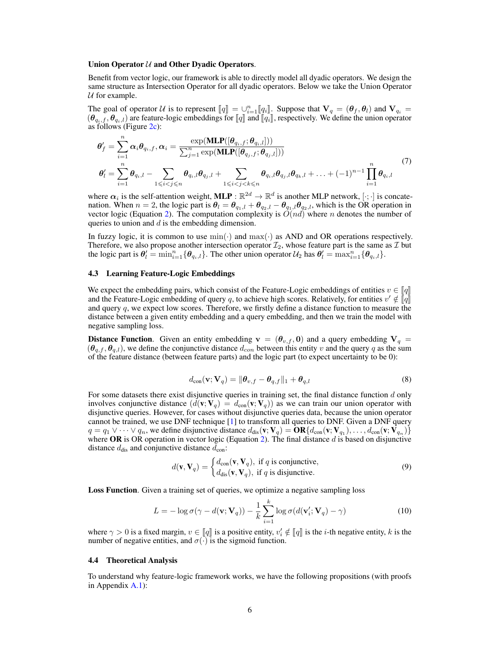#### Union Operator  $U$  and Other Dyadic Operators.

Benefit from vector logic, our framework is able to directly model all dyadic operators. We design the same structure as Intersection Operator for all dyadic operators. Below we take the Union Operator  $U$  for example.

The goal of operator U is to represent  $[\![q]\!] = \bigcup_{i=1}^n [\![q_i]\!]$ . Suppose that  $V_q = (\theta_f, \theta_i)$  and  $V_{q_i} = (\theta_f, \theta_i)$  are feature-logic embeddings for  $[\![q]\!]$  and  $[\![q_i]\!]$  respectively. We define the union operator  $(\theta_{q_i,f}, \theta_{q_i,l})$  are feature-logic embeddings for  $\llbracket q \rrbracket$  and  $\llbracket q_i \rrbracket$ , respectively. We define the union operator as follows (Figure [2c\)](#page-4-1):

$$
\theta'_{f} = \sum_{i=1}^{n} \alpha_{i} \theta_{q_{i},f}, \alpha_{i} = \frac{\exp(\text{MLP}([\theta_{q_{i},f}; \theta_{q_{i},l}]))}{\sum_{j=1}^{n} \exp(\text{MLP}([\theta_{q_{j},f}; \theta_{q_{j},l}]))}
$$
\n
$$
\theta'_{l} = \sum_{i=1}^{n} \theta_{q_{i},l} - \sum_{1 \leq i < j \leq n} \theta_{q_{i},l} \theta_{q_{j},l} + \sum_{1 \leq i < j < k \leq n} \theta_{q_{i},l} \theta_{q_{j},l} \theta_{q_{k},l} + \ldots + (-1)^{n-1} \prod_{i=1}^{n} \theta_{q_{i},l} \tag{7}
$$

where  $\alpha_i$  is the self-attention weight, MLP :  $\mathbb{R}^{2d} \to \mathbb{R}^d$  is another MLP network,  $[\cdot; \cdot]$  is concatenation. When  $n = 2$ , the logic part is  $\theta_l = \theta_{q_1,l} + \theta_{q_2,l} - \theta_{q_1,l}\theta_{q_2,l}$ , which is the OR operation in vector logic (Equation [2\)](#page-3-1). The computation complexity is  $O(nd)$  where n denotes the number of queries to union and  $d$  is the embedding dimension.

In fuzzy logic, it is common to use  $\min(\cdot)$  and  $\max(\cdot)$  as AND and OR operations respectively. Therefore, we also propose another intersection operator  $\mathcal{I}_2$ , whose feature part is the same as  $\mathcal I$  but the logic part is  $\theta'_{l} = \min_{i=1}^{n} {\theta_{q_i,l}}$ . The other union operator  $\mathcal{U}_2$  has  $\theta'_{l} = \max_{i=1}^{n} {\theta_{q_i,l}}$ .

#### <span id="page-5-0"></span>4.3 Learning Feature-Logic Embeddings

We expect the embedding pairs, which consist of the Feature-Logic embeddings of entities  $v \in \llbracket q \rrbracket$ and the Feature-Logic embedding of query q, to achieve high scores. Relatively, for entities  $v' \notin \llbracket \bar{q} \rrbracket$ <br>and query q, we expect low scores. Therefore, we firstly define a distance function to measure the and query q, we expect low scores. Therefore, we firstly define a distance function to measure the distance between a given entity embedding and a query embedding, and then we train the model with negative sampling loss.

**Distance Function.** Given an entity embedding  $v = (\theta_{v,f}, 0)$  and a query embedding  $V_q =$  $(\theta_{q,t}, \theta_{q,l})$ , we define the conjunctive distance  $d_{con}$  between this entity v and the query q as the sum of the feature distance (between feature parts) and the logic part (to expect uncertainty to be 0):

$$
d_{\text{con}}(\mathbf{v}; \mathbf{V}_q) = \|\boldsymbol{\theta}_{v,f} - \boldsymbol{\theta}_{q,f}\|_1 + \boldsymbol{\theta}_{q,l} \tag{8}
$$

For some datasets there exist disjunctive queries in training set, the final distance function  $d$  only involves conjunctive distance  $(d(\mathbf{v}; \mathbf{V}_q)) = d_{con}(\mathbf{v}; \mathbf{V}_q)$  as we can train our union operator with disjunctive queries. However, for cases without disjunctive queries data, because the union operator cannot be trained, we use DNF technique [\[1\]](#page-9-0) to transform all queries to DNF. Given a DNF query  $q = q_1 \vee \cdots \vee q_n$ , we define disjunctive distance  $d_{dis}(\mathbf{v}; \mathbf{V}_q) = \mathbf{OR}\{d_{con}(\mathbf{v}; \mathbf{V}_{q_1}), \ldots, d_{con}(\mathbf{v}; \mathbf{V}_{q_n})\}\$ where OR is OR operation in vector logic (Equation [2\)](#page-3-1). The final distance  $d$  is based on disjunctive distance  $d_{\text{dis}}$  and conjunctive distance  $d_{\text{con}}$ :

$$
d(\mathbf{v}, \mathbf{V}_q) = \begin{cases} d_{\text{con}}(\mathbf{v}, \mathbf{V}_q), & \text{if } q \text{ is conjunctive,} \\ d_{\text{dis}}(\mathbf{v}, \mathbf{V}_q), & \text{if } q \text{ is disjunctive.} \end{cases}
$$
(9)

Loss Function. Given a training set of queries, we optimize a negative sampling loss

$$
L = -\log \sigma(\gamma - d(\mathbf{v}; \mathbf{V}_q)) - \frac{1}{k} \sum_{i=1}^{k} \log \sigma(d(\mathbf{v}'_i; \mathbf{V}_q) - \gamma)
$$
(10)

where  $\gamma > 0$  is a fixed margin,  $v \in [\![q]\!]$  is a positive entity,  $v'_i \notin [\![q]\!]$  is the *i*-th negative entity, k is the number of negative entities and  $\sigma(.)$  is the sigmoid function number of negative entities, and  $\sigma(\cdot)$  is the sigmoid function.

#### <span id="page-5-1"></span>4.4 Theoretical Analysis

To understand why feature-logic framework works, we have the following propositions (with proofs in Appendix [A.1\)](#page-11-0):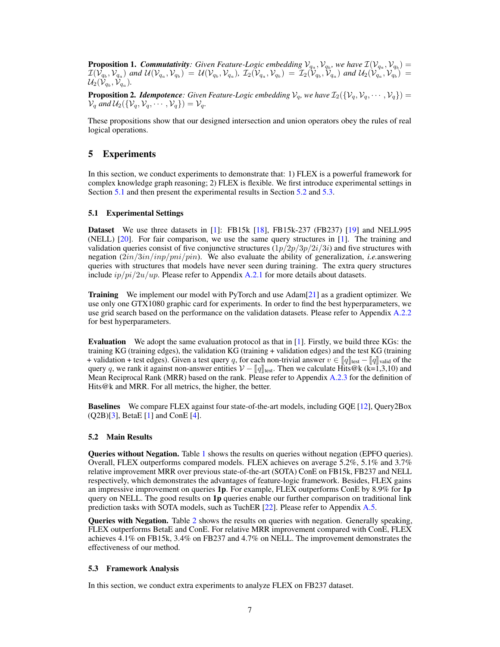<span id="page-6-3"></span>**Proposition 1. Commutativity**: Given Feature-Logic embedding  $V_{q_a}, V_{q_b}$ , we have  $\mathcal{I}(V_{q_a}, V_{q_b}) =$  $\mathcal{I}(\mathcal{V}_{q_b},\mathcal{V}_{q_a})$  and  $\mathcal{U}(\mathcal{V}_{q_a},\mathcal{V}_{q_b}) = \mathcal{U}(\mathcal{V}_{q_b},\mathcal{V}_{q_a})$ ,  $\mathcal{I}_2(\mathcal{V}_{q_a},\mathcal{V}_{q_b}) = \mathcal{I}_2(\mathcal{V}_{q_b},\mathcal{V}_{q_a})$  and  $\mathcal{U}_2(\mathcal{V}_{q_a},\mathcal{V}_{q_b}) =$  $\mathcal{U}_2(\tilde{\mathcal{V}}_{q_b}, \tilde{\mathcal{V}}_{q_a}).$ 

<span id="page-6-4"></span>**Proposition 2.** *Idempotence*: Given Feature-Logic embedding  $V_q$ , we have  $\mathcal{I}_2(\{V_q, V_q, \dots, V_q\}) =$  $\mathcal{V}_q$  and  $\mathcal{U}_2(\{\mathcal{V}_q, \mathcal{V}_q, \cdots, \mathcal{V}_q\}) = \mathcal{V}_q$ .

These propositions show that our designed intersection and union operators obey the rules of real logical operations.

# 5 Experiments

In this section, we conduct experiments to demonstrate that: 1) FLEX is a powerful framework for complex knowledge graph reasoning; 2) FLEX is flexible. We first introduce experimental settings in Section [5.1](#page-6-1) and then present the experimental results in Section [5.2](#page-6-2) and [5.3.](#page-6-0)

#### <span id="page-6-1"></span>5.1 Experimental Settings

Dataset We use three datasets in [\[1\]](#page-9-0): FB15k [\[18\]](#page-9-14), FB15k-237 (FB237) [\[19\]](#page-9-15) and NELL995 (NELL) [\[20\]](#page-10-0). For fair comparison, we use the same query structures in [\[1\]](#page-9-0). The training and validation queries consist of five conjunctive structures  $(1p/2p/3p/2i/3i)$  and five structures with negation (2in/3in/inp/pni/pin). We also evaluate the ability of generalization, *i.e.*answering queries with structures that models have never seen during training. The extra query structures include  $ip/pi/2u/up$ . Please refer to Appendix [A.2.1](#page-12-0) for more details about datasets.

Training We implement our model with PyTorch and use Adam[\[21\]](#page-10-1) as a gradient optimizer. We use only one GTX1080 graphic card for experiments. In order to find the best hyperparameters, we use grid search based on the performance on the validation datasets. Please refer to Appendix [A.2.2](#page-12-1) for best hyperparameters.

Evaluation We adopt the same evaluation protocol as that in [\[1\]](#page-9-0). Firstly, we build three KGs: the training KG (training edges), the validation KG (training + validation edges) and the test KG (training + validation + test edges). Given a test query q, for each non-trivial answer  $v \in ||q||_{\text{test}} - ||q||_{\text{valid}}$  of the query q, we rank it against non-answer entities  $V - [q]_{\text{test}}$ . Then we calculate Hits@k (k=1,3,10) and Mean Reciprocal Rank (MRR) based on the rank. Please refer to Appendix [A.2.3](#page-13-0) for the definition of Hits@k and MRR. For all metrics, the higher, the better.

Baselines We compare FLEX against four state-of-the-art models, including GQE [\[12\]](#page-9-9), Query2Box  $(Q2B)[3]$  $(Q2B)[3]$ , BetaE [\[1\]](#page-9-0) and ConE [\[4\]](#page-9-3).

#### <span id="page-6-2"></span>5.2 Main Results

Queries without Negation. Table [1](#page-7-0) shows the results on queries without negation (EPFO queries). Overall, FLEX outperforms compared models. FLEX achieves on average 5.2%, 5.1% and 3.7% relative improvement MRR over previous state-of-the-art (SOTA) ConE on FB15k, FB237 and NELL respectively, which demonstrates the advantages of feature-logic framework. Besides, FLEX gains an impressive improvement on queries 1p. For example, FLEX outperforms ConE by 8.9% for 1p query on NELL. The good results on  $1p$  queries enable our further comparison on traditional link prediction tasks with SOTA models, such as TuchER [\[22\]](#page-10-2). Please refer to Appendix [A.5.](#page-14-0)

Queries with Negation. Table [2](#page-7-1) shows the results on queries with negation. Generally speaking, FLEX outperforms BetaE and ConE. For relative MRR improvement compared with ConE, FLEX achieves 4.1% on FB15k, 3.4% on FB237 and 4.7% on NELL. The improvement demonstrates the effectiveness of our method.

#### <span id="page-6-0"></span>5.3 Framework Analysis

In this section, we conduct extra experiments to analyze FLEX on FB237 dataset.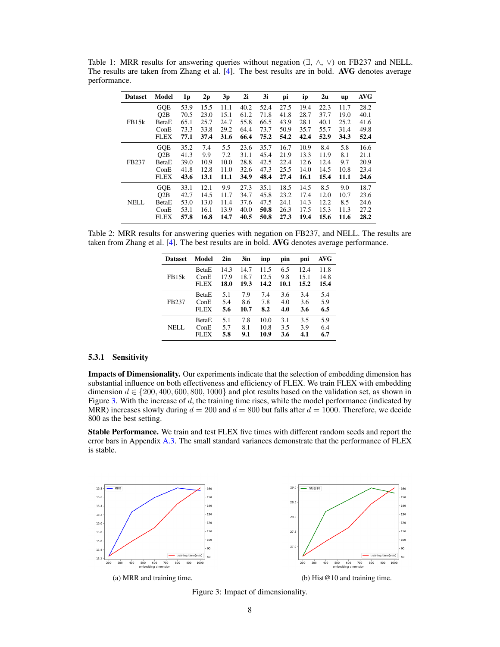| <b>Dataset</b>    | Model       | 1 <sub>p</sub> | 2p   | 3p   | 2i   | 3i   | рi   | ip   | 2u   | up   | <b>AVG</b> |
|-------------------|-------------|----------------|------|------|------|------|------|------|------|------|------------|
|                   | <b>GQE</b>  | 53.9           | 15.5 | 11.1 | 40.2 | 52.4 | 27.5 | 19.4 | 22.3 | 11.7 | 28.2       |
|                   | O2B         | 70.5           | 23.0 | 15.1 | 61.2 | 71.8 | 41.8 | 28.7 | 37.7 | 19.0 | 40.1       |
| FB15 <sub>k</sub> | BetaE       | 65.1           | 25.7 | 24.7 | 55.8 | 66.5 | 43.9 | 28.1 | 40.1 | 25.2 | 41.6       |
|                   | ConE        | 73.3           | 33.8 | 29.2 | 64.4 | 73.7 | 50.9 | 35.7 | 55.7 | 31.4 | 49.8       |
|                   | <b>FLEX</b> | 77.1           | 37.4 | 31.6 | 66.4 | 75.2 | 54.2 | 42.4 | 52.9 | 34.3 | 52.4       |
|                   | <b>GQE</b>  | 35.2           | 7.4  | 5.5  | 23.6 | 35.7 | 16.7 | 10.9 | 8.4  | 5.8  | 16.6       |
|                   | O2B         | 41.3           | 9.9  | 7.2  | 31.1 | 45.4 | 21.9 | 13.3 | 11.9 | 8.1  | 21.1       |
| FB237             | BetaE       | 39.0           | 10.9 | 10.0 | 28.8 | 42.5 | 22.4 | 12.6 | 12.4 | 9.7  | 20.9       |
|                   | ConE        | 41.8           | 12.8 | 11.0 | 32.6 | 47.3 | 25.5 | 14.0 | 14.5 | 10.8 | 23.4       |
|                   | <b>FLEX</b> | 43.6           | 13.1 | 11.1 | 34.9 | 48.4 | 27.4 | 16.1 | 15.4 | 11.1 | 24.6       |
|                   | <b>GQE</b>  | 33.1           | 12.1 | 9.9  | 27.3 | 35.1 | 18.5 | 14.5 | 8.5  | 9.0  | 18.7       |
|                   | Q2B         | 42.7           | 14.5 | 11.7 | 34.7 | 45.8 | 23.2 | 17.4 | 12.0 | 10.7 | 23.6       |
| <b>NELL</b>       | BetaE       | 53.0           | 13.0 | 11.4 | 37.6 | 47.5 | 24.1 | 14.3 | 12.2 | 8.5  | 24.6       |
|                   | ConE        | 53.1           | 16.1 | 13.9 | 40.0 | 50.8 | 26.3 | 17.5 | 15.3 | 11.3 | 27.2       |
|                   | <b>FLEX</b> | 57.8           | 16.8 | 14.7 | 40.5 | 50.8 | 27.3 | 19.4 | 15.6 | 11.6 | 28.2       |

<span id="page-7-0"></span>Table 1: MRR results for answering queries without negation  $(\exists, \wedge, \vee)$  on FB237 and NELL. The results are taken from Zhang et al. [\[4\]](#page-9-3). The best results are in bold. AVG denotes average performance.

<span id="page-7-1"></span>Table 2: MRR results for answering queries with negation on FB237, and NELL. The results are taken from Zhang et al. [\[4\]](#page-9-3). The best results are in bold. AVG denotes average performance.

| <b>Dataset</b> | Model        | 2in  | 3in  | inp  | pin  | pni  | AVG  |
|----------------|--------------|------|------|------|------|------|------|
|                | <b>BetaE</b> | 14.3 | 14.7 | 11.5 | 6.5  | 12.4 | 11.8 |
| FB15k          | ConE         | 17.9 | 18.7 | 12.5 | 9.8  | 15.1 | 14.8 |
|                | <b>FLEX</b>  | 18.0 | 19.3 | 14.2 | 10.1 | 15.2 | 15.4 |
|                | <b>BetaE</b> | 5.1  | 7.9  | 7.4  | 3.6  | 3.4  | 5.4  |
| FB237          | ConE         | 5.4  | 8.6  | 7.8  | 4.0  | 3.6  | 5.9  |
|                | <b>FLEX</b>  | 5.6  | 10.7 | 8.2  | 4.0  | 3.6  | 6.5  |
|                | <b>BetaE</b> | 5.1  | 7.8  | 10.0 | 3.1  | 3.5  | 5.9  |
| NELL.          | ConE         | 5.7  | 8.1  | 10.8 | 3.5  | 3.9  | 6.4  |
|                | <b>FLEX</b>  | 5.8  | 9.1  | 10.9 | 3.6  | 4.1  | 6.7  |

# 5.3.1 Sensitivity

Impacts of Dimensionality. Our experiments indicate that the selection of embedding dimension has substantial influence on both effectiveness and efficiency of FLEX. We train FLEX with embedding dimension  $d \in \{200, 400, 600, 800, 1000\}$  and plot results based on the validation set, as shown in Figure [3.](#page-7-2) With the increase of  $d$ , the training time rises, while the model performance (indicated by MRR) increases slowly during  $d = 200$  and  $d = 800$  but falls after  $d = 1000$ . Therefore, we decide 800 as the best setting.

Stable Performance. We train and test FLEX five times with different random seeds and report the error bars in Appendix [A.3.](#page-13-1) The small standard variances demonstrate that the performance of FLEX is stable.

<span id="page-7-2"></span>

Figure 3: Impact of dimensionality.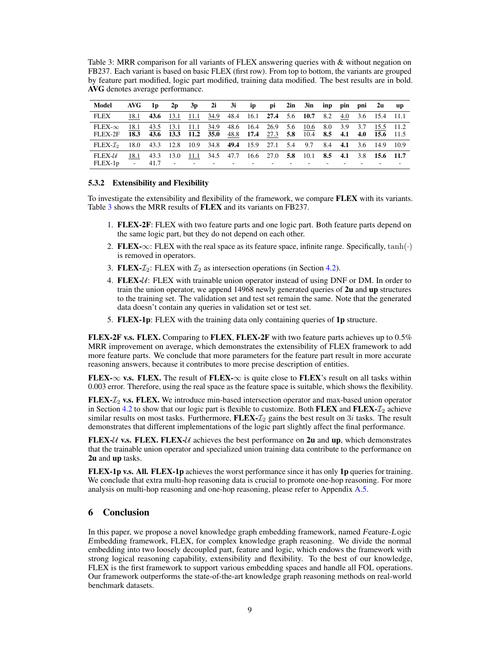<span id="page-8-0"></span>Table 3: MRR comparison for all variants of FLEX answering queries with & without negation on FB237. Each variant is based on basic FLEX (first row). From top to bottom, the variants are grouped by feature part modified, logic part modified, training data modified. The best results are in bold. AVG denotes average performance.

| Model                                                                                       | AVG —        | 1 <sub>p</sub>                                                            | 2p        |                | 3p 2i 3i ip pi 2in 3in inp pin pni 2u                                                   |  |  |  |  | up u |
|---------------------------------------------------------------------------------------------|--------------|---------------------------------------------------------------------------|-----------|----------------|-----------------------------------------------------------------------------------------|--|--|--|--|------|
| FLEX                                                                                        | 18.1         |                                                                           |           |                | 43.6 13.1 11.1 34.9 48.4 16.1 27.4 5.6 10.7 8.2 4.0 3.6 15.4 11.1                       |  |  |  |  |      |
| $FLEX-\infty$<br>FLEX-2F                                                                    | 18.1<br>18.3 | 43.5<br>43.6 13.3 11.2 35.0 48.8 17.4 27.3 5.8 10.4 8.5 4.1 4.0 15.6 11.5 |           |                | 13.1 11.1 34.9 48.6 16.4 26.9 5.6 10.6 8.0 3.9 3.7 15.5 11.2                            |  |  |  |  |      |
| FLEX- $\mathcal{I}_2$ 18.0 43.3 12.8 10.9 34.8 49.4 15.9 27.1 5.4 9.7 8.4 4.1 3.6 14.9 10.9 |              |                                                                           |           |                |                                                                                         |  |  |  |  |      |
| $FLEX-{\mathcal U}$<br>$FLEX-1p$                                                            | 18.1         | $41.7 -$                                                                  | 43.3 13.0 | 11.1<br>$\sim$ | 34.5 47.7 16.6 27.0 5.8 10.1 8.5 4.1 3.8 15.6 11.7<br>the company's company's company's |  |  |  |  |      |

# 5.3.2 Extensibility and Flexibility

To investigate the extensibility and flexibility of the framework, we compare FLEX with its variants. Table [3](#page-8-0) shows the MRR results of FLEX and its variants on FB237.

- 1. FLEX-2F: FLEX with two feature parts and one logic part. Both feature parts depend on the same logic part, but they do not depend on each other.
- 2. FLEX-∞: FLEX with the real space as its feature space, infinite range. Specifically,  $tanh(·)$ is removed in operators.
- 3. FLEX- $\mathcal{I}_2$ : FLEX with  $\mathcal{I}_2$  as intersection operations (in Section [4.2\)](#page-4-2).
- 4. FLEX- $U:$  FLEX with trainable union operator instead of using DNF or DM. In order to train the union operator, we append 14968 newly generated queries of 2u and up structures to the training set. The validation set and test set remain the same. Note that the generated data doesn't contain any queries in validation set or test set.
- 5. FLEX-1p: FLEX with the training data only containing queries of 1p structure.

FLEX-2F v.s. FLEX. Comparing to FLEX, FLEX-2F with two feature parts achieves up to 0.5% MRR improvement on average, which demonstrates the extensibility of FLEX framework to add more feature parts. We conclude that more parameters for the feature part result in more accurate reasoning answers, because it contributes to more precise description of entities.

FLEX- $\infty$  v.s. FLEX. The result of FLEX- $\infty$  is quite close to FLEX's result on all tasks within 0.003 error. Therefore, using the real space as the feature space is suitable, which shows the flexibility.

FLEX- $\mathcal{I}_2$  v.s. FLEX. We introduce min-based intersection operator and max-based union operator in Section [4.2](#page-4-2) to show that our logic part is flexible to customize. Both FLEX and FLEX- $\mathcal{I}_2$  achieve similar results on most tasks. Furthermore,  $FLEX - \mathcal{I}_2$  gains the best result on  $3i$  tasks. The result demonstrates that different implementations of the logic part slightly affect the final performance.

FLEX- $U$  v.s. FLEX. FLEX- $U$  achieves the best performance on 2u and up, which demonstrates that the trainable union operator and specialized union training data contribute to the performance on 2u and up tasks.

FLEX-1p v.s. All. FLEX-1p achieves the worst performance since it has only 1p queries for training. We conclude that extra multi-hop reasoning data is crucial to promote one-hop reasoning. For more analysis on multi-hop reasoning and one-hop reasoning, please refer to Appendix [A.5.](#page-14-0)

# 6 Conclusion

In this paper, we propose a novel knowledge graph embedding framework, named Feature-Logic Embedding framework, FLEX, for complex knowledge graph reasoning. We divide the normal embedding into two loosely decoupled part, feature and logic, which endows the framework with strong logical reasoning capability, extensibility and flexibility. To the best of our knowledge, FLEX is the first framework to support various embedding spaces and handle all FOL operations. Our framework outperforms the state-of-the-art knowledge graph reasoning methods on real-world benchmark datasets.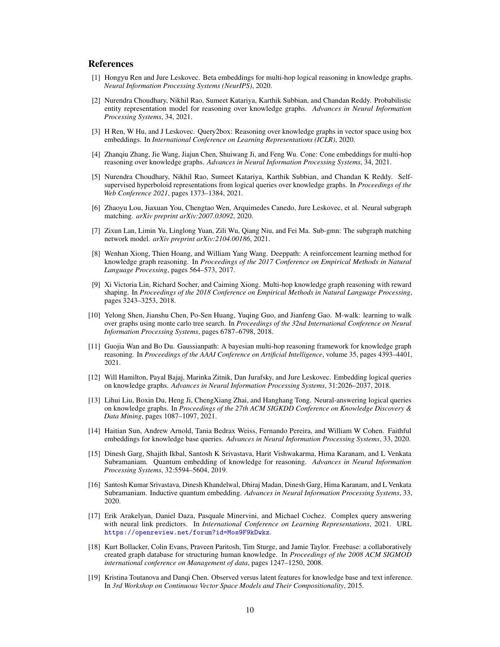# References

- <span id="page-9-0"></span>[1] Hongyu Ren and Jure Leskovec. Beta embeddings for multi-hop logical reasoning in knowledge graphs. *Neural Information Processing Systems (NeurIPS)*, 2020.
- <span id="page-9-1"></span>[2] Nurendra Choudhary, Nikhil Rao, Sumeet Katariya, Karthik Subbian, and Chandan Reddy. Probabilistic entity representation model for reasoning over knowledge graphs. *Advances in Neural Information Processing Systems*, 34, 2021.
- <span id="page-9-2"></span>[3] H Ren, W Hu, and J Leskovec. Query2box: Reasoning over knowledge graphs in vector space using box embeddings. In *International Conference on Learning Representations (ICLR)*, 2020.
- <span id="page-9-3"></span>[4] Zhanqiu Zhang, Jie Wang, Jiajun Chen, Shuiwang Ji, and Feng Wu. Cone: Cone embeddings for multi-hop reasoning over knowledge graphs. *Advances in Neural Information Processing Systems*, 34, 2021.
- <span id="page-9-4"></span>[5] Nurendra Choudhary, Nikhil Rao, Sumeet Katariya, Karthik Subbian, and Chandan K Reddy. Selfsupervised hyperboloid representations from logical queries over knowledge graphs. In *Proceedings of the Web Conference 2021*, pages 1373–1384, 2021.
- <span id="page-9-5"></span>[6] Zhaoyu Lou, Jiaxuan You, Chengtao Wen, Arquimedes Canedo, Jure Leskovec, et al. Neural subgraph matching. *arXiv preprint arXiv:2007.03092*, 2020.
- <span id="page-9-6"></span>[7] Zixun Lan, Limin Yu, Linglong Yuan, Zili Wu, Qiang Niu, and Fei Ma. Sub-gmn: The subgraph matching network model. *arXiv preprint arXiv:2104.00186*, 2021.
- <span id="page-9-7"></span>[8] Wenhan Xiong, Thien Hoang, and William Yang Wang. Deeppath: A reinforcement learning method for knowledge graph reasoning. In *Proceedings of the 2017 Conference on Empirical Methods in Natural Language Processing*, pages 564–573, 2017.
- [9] Xi Victoria Lin, Richard Socher, and Caiming Xiong. Multi-hop knowledge graph reasoning with reward shaping. In *Proceedings of the 2018 Conference on Empirical Methods in Natural Language Processing*, pages 3243–3253, 2018.
- [10] Yelong Shen, Jianshu Chen, Po-Sen Huang, Yuqing Guo, and Jianfeng Gao. M-walk: learning to walk over graphs using monte carlo tree search. In *Proceedings of the 32nd International Conference on Neural Information Processing Systems*, pages 6787–6798, 2018.
- <span id="page-9-8"></span>[11] Guojia Wan and Bo Du. Gaussianpath: A bayesian multi-hop reasoning framework for knowledge graph reasoning. In *Proceedings of the AAAI Conference on Artificial Intelligence*, volume 35, pages 4393–4401, 2021.
- <span id="page-9-9"></span>[12] Will Hamilton, Payal Bajaj, Marinka Zitnik, Dan Jurafsky, and Jure Leskovec. Embedding logical queries on knowledge graphs. *Advances in Neural Information Processing Systems*, 31:2026–2037, 2018.
- <span id="page-9-10"></span>[13] Lihui Liu, Boxin Du, Heng Ji, ChengXiang Zhai, and Hanghang Tong. Neural-answering logical queries on knowledge graphs. In *Proceedings of the 27th ACM SIGKDD Conference on Knowledge Discovery & Data Mining*, pages 1087–1097, 2021.
- <span id="page-9-11"></span>[14] Haitian Sun, Andrew Arnold, Tania Bedrax Weiss, Fernando Pereira, and William W Cohen. Faithful embeddings for knowledge base queries. *Advances in Neural Information Processing Systems*, 33, 2020.
- [15] Dinesh Garg, Shajith Ikbal, Santosh K Srivastava, Harit Vishwakarma, Hima Karanam, and L Venkata Subramaniam. Quantum embedding of knowledge for reasoning. *Advances in Neural Information Processing Systems*, 32:5594–5604, 2019.
- <span id="page-9-12"></span>[16] Santosh Kumar Srivastava, Dinesh Khandelwal, Dhiraj Madan, Dinesh Garg, Hima Karanam, and L Venkata Subramaniam. Inductive quantum embedding. *Advances in Neural Information Processing Systems*, 33, 2020.
- <span id="page-9-13"></span>[17] Erik Arakelyan, Daniel Daza, Pasquale Minervini, and Michael Cochez. Complex query answering with neural link predictors. In *International Conference on Learning Representations*, 2021. URL <https://openreview.net/forum?id=Mos9F9kDwkz>.
- <span id="page-9-14"></span>[18] Kurt Bollacker, Colin Evans, Praveen Paritosh, Tim Sturge, and Jamie Taylor. Freebase: a collaboratively created graph database for structuring human knowledge. In *Proceedings of the 2008 ACM SIGMOD international conference on Management of data*, pages 1247–1250, 2008.
- <span id="page-9-15"></span>[19] Kristina Toutanova and Danqi Chen. Observed versus latent features for knowledge base and text inference. In *3rd Workshop on Continuous Vector Space Models and Their Compositionality*, 2015.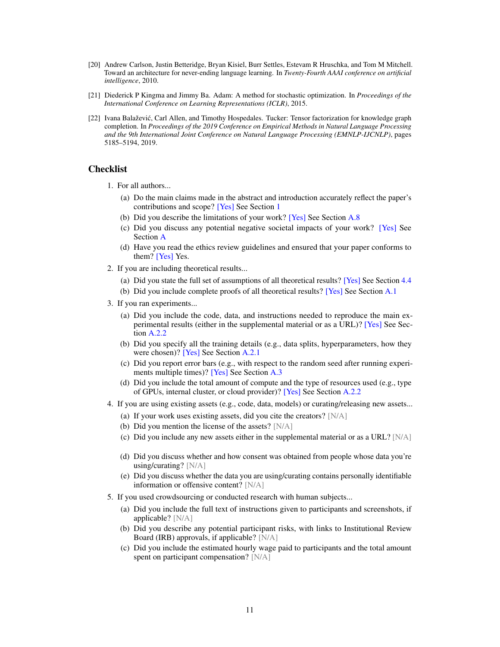- <span id="page-10-0"></span>[20] Andrew Carlson, Justin Betteridge, Bryan Kisiel, Burr Settles, Estevam R Hruschka, and Tom M Mitchell. Toward an architecture for never-ending language learning. In *Twenty-Fourth AAAI conference on artificial intelligence*, 2010.
- <span id="page-10-1"></span>[21] Diederick P Kingma and Jimmy Ba. Adam: A method for stochastic optimization. In *Proceedings of the International Conference on Learning Representations (ICLR)*, 2015.
- <span id="page-10-2"></span>[22] Ivana Balaževic, Carl Allen, and Timothy Hospedales. Tucker: Tensor factorization for knowledge graph ´ completion. In *Proceedings of the 2019 Conference on Empirical Methods in Natural Language Processing and the 9th International Joint Conference on Natural Language Processing (EMNLP-IJCNLP)*, pages 5185–5194, 2019.

# **Checklist**

- 1. For all authors...
	- (a) Do the main claims made in the abstract and introduction accurately reflect the paper's contributions and scope? [Yes] See Section [1](#page-0-0)
	- (b) Did you describe the limitations of your work? [Yes] See Section [A.8](#page-15-0)
	- (c) Did you discuss any potential negative societal impacts of your work? [Yes] See Section [A](#page-11-1)
	- (d) Have you read the ethics review guidelines and ensured that your paper conforms to them? [Yes] Yes.
- 2. If you are including theoretical results...
	- (a) Did you state the full set of assumptions of all theoretical results? [Yes] See Section [4.4](#page-5-1)
	- (b) Did you include complete proofs of all theoretical results? [Yes] See Section [A.1](#page-11-0)
- 3. If you ran experiments...
	- (a) Did you include the code, data, and instructions needed to reproduce the main experimental results (either in the supplemental material or as a URL)? [Yes] See Section [A.2.2](#page-12-1)
	- (b) Did you specify all the training details (e.g., data splits, hyperparameters, how they were chosen)? [Yes] See Section [A.2.1](#page-12-0)
	- (c) Did you report error bars (e.g., with respect to the random seed after running experiments multiple times)? [Yes] See Section [A.3](#page-13-1)
	- (d) Did you include the total amount of compute and the type of resources used (e.g., type of GPUs, internal cluster, or cloud provider)? [Yes] See Section [A.2.2](#page-12-1)
- 4. If you are using existing assets (e.g., code, data, models) or curating/releasing new assets...
	- (a) If your work uses existing assets, did you cite the creators? [N/A]
	- (b) Did you mention the license of the assets? [N/A]
	- (c) Did you include any new assets either in the supplemental material or as a URL?  $[N/A]$
	- (d) Did you discuss whether and how consent was obtained from people whose data you're using/curating? [N/A]
	- (e) Did you discuss whether the data you are using/curating contains personally identifiable information or offensive content? [N/A]
- 5. If you used crowdsourcing or conducted research with human subjects...
	- (a) Did you include the full text of instructions given to participants and screenshots, if applicable? [N/A]
	- (b) Did you describe any potential participant risks, with links to Institutional Review Board (IRB) approvals, if applicable? [N/A]
	- (c) Did you include the estimated hourly wage paid to participants and the total amount spent on participant compensation? [N/A]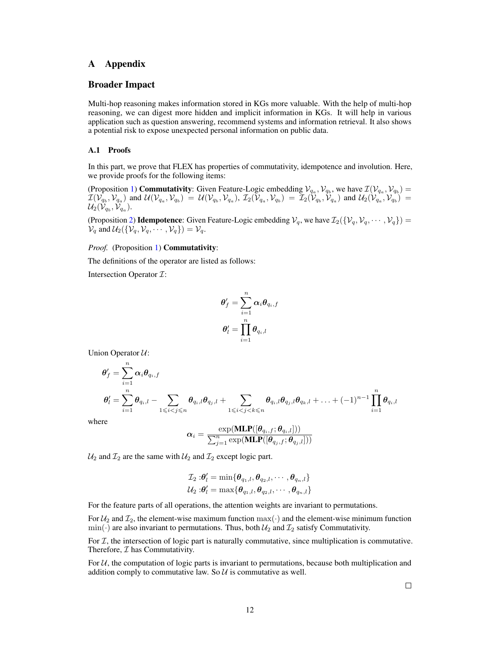# A Appendix

# <span id="page-11-1"></span>Broader Impact

Multi-hop reasoning makes information stored in KGs more valuable. With the help of multi-hop reasoning, we can digest more hidden and implicit information in KGs. It will help in various application such as question answering, recommend systems and information retrieval. It also shows a potential risk to expose unexpected personal information on public data.

### <span id="page-11-0"></span>A.1 Proofs

In this part, we prove that FLEX has properties of commutativity, idempotence and involution. Here, we provide proofs for the following items:

(Proposition [1\)](#page-6-3) **Commutativity**: Given Feature-Logic embedding  $V_{q_a}, V_{q_b}$ , we have  $\mathcal{I}(V_{q_a}, V_{q_b})$  =  $\mathcal{I}(\mathcal{V}_{q_b},\mathcal{V}_{q_a})$  and  $\mathcal{U}(\mathcal{V}_{q_a},\mathcal{V}_{q_b}) = \mathcal{U}(\mathcal{V}_{q_b},\mathcal{V}_{q_a})$ ,  $\mathcal{I}_2(\mathcal{V}_{q_a},\mathcal{V}_{q_b}) = \mathcal{I}_2(\mathcal{V}_{q_b},\mathcal{V}_{q_a})$  and  $\mathcal{U}_2(\mathcal{V}_{q_a},\mathcal{V}_{q_b}) =$  $\mathcal{U}_2(\mathcal{V}_{q_b},\mathcal{V}_{q_a}).$ 

(Proposition [2\)](#page-6-4) **Idempotence**: Given Feature-Logic embedding  $V_q$ , we have  $\mathcal{I}_2(\{V_q, V_q, \dots, V_q\}) =$  $\mathcal{V}_q$  and  $\mathcal{U}_2(\{\mathcal{V}_q, \mathcal{V}_q, \cdots, \mathcal{V}_q\}) = \mathcal{V}_q$ .

# *Proof.* (Proposition [1\)](#page-6-3) **Commutativity**:

The definitions of the operator are listed as follows:

Intersection Operator  $\mathcal{I}$ :

$$
\begin{aligned} \boldsymbol{\theta}_f' &= \sum_{i=1}^n \boldsymbol{\alpha}_i \boldsymbol{\theta}_{q_i,f} \\ \boldsymbol{\theta}_l' &= \prod_{i=1}^n \boldsymbol{\theta}_{q_i,l} \end{aligned}
$$

Union Operator  $U$ :

$$
\begin{aligned} \boldsymbol{\theta}_f' &= \sum_{i=1}^n \boldsymbol{\alpha}_i \boldsymbol{\theta}_{q_i,f} \\ \boldsymbol{\theta}_l' &= \sum_{i=1}^n \boldsymbol{\theta}_{q_i,l} - \sum_{1 \leqslant i < j \leqslant n} \boldsymbol{\theta}_{q_i,l} \boldsymbol{\theta}_{q_j,l} + \sum_{1 \leqslant i < j < k \leqslant n} \boldsymbol{\theta}_{q_i,l} \boldsymbol{\theta}_{q_j,l} \boldsymbol{\theta}_{q_k,l} + \ldots + (-1)^{n-1} \prod_{i=1}^n \boldsymbol{\theta}_{q_i,l} \end{aligned}
$$

where

$$
\boldsymbol{\alpha}_i = \frac{\exp(\textbf{MLP}([\boldsymbol{\theta}_{q_i,f};\boldsymbol{\theta}_{q_i,l}]))}{\sum_{j=1}^n \exp(\textbf{MLP}([\boldsymbol{\theta}_{q_j,f};\boldsymbol{\theta}_{q_j,l}]))}
$$

 $U_2$  and  $\mathcal{I}_2$  are the same with  $U_2$  and  $\mathcal{I}_2$  except logic part.

$$
\mathcal{I}_2: \boldsymbol{\theta}'_l = \min\{\boldsymbol{\theta}_{q_1,l}, \boldsymbol{\theta}_{q_2,l}, \cdots, \boldsymbol{\theta}_{q_n,l}\} \mathcal{U}_2: \boldsymbol{\theta}'_l = \max\{\boldsymbol{\theta}_{q_1,l}, \boldsymbol{\theta}_{q_2,l}, \cdots, \boldsymbol{\theta}_{q_n,l}\}
$$

For the feature parts of all operations, the attention weights are invariant to permutations.

For  $U_2$  and  $\mathcal{I}_2$ , the element-wise maximum function max( $\cdot$ ) and the element-wise minimum function  $\min(\cdot)$  are also invariant to permutations. Thus, both  $\mathcal{U}_2$  and  $\mathcal{I}_2$  satisfy Commutativity.

For  $I$ , the intersection of logic part is naturally commutative, since multiplication is commutative. Therefore,  $I$  has Commutativity.

For  $U$ , the computation of logic parts is invariant to permutations, because both multiplication and addition comply to commutative law. So  $U$  is commutative as well.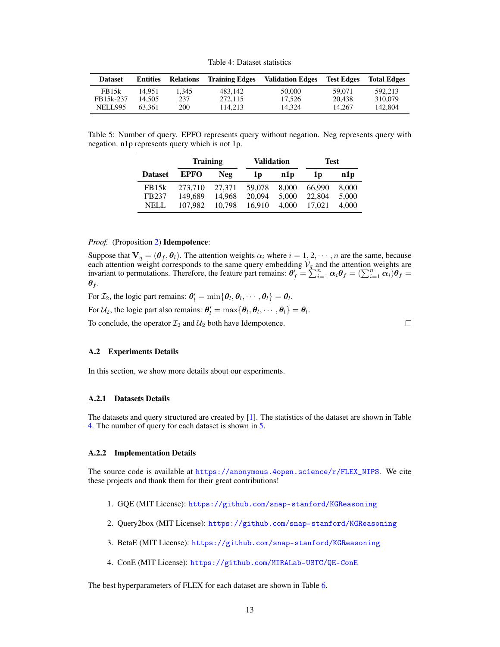Table 4: Dataset statistics

<span id="page-12-2"></span>

| <b>Dataset</b>     | <b>Entities</b> | <b>Relations</b> | <b>Training Edges</b> | <b>Validation Edges</b> | <b>Test Edges</b> | <b>Total Edges</b> |
|--------------------|-----------------|------------------|-----------------------|-------------------------|-------------------|--------------------|
| FB <sub>15</sub> k | 14.951          | 1.345            | 483.142               | 50,000                  | 59.071            | 592.213            |
| FB15k-237          | 14.505          | 237              | 272.115               | 17.526                  | 20.438            | 310,079            |
| <b>NELL995</b>     | 63.361          | 200              | 114.213               | 14.324                  | 14.267            | 142.804            |

<span id="page-12-3"></span>Table 5: Number of query. EPFO represents query without negation. Neg represents query with negation. n1p represents query which is not 1p.

|                    | <b>Training</b> |        | Validation     |                 | <b>Test</b> |                 |  |
|--------------------|-----------------|--------|----------------|-----------------|-------------|-----------------|--|
| <b>Dataset</b>     | <b>EPFO</b>     | Neg    | 1 <sub>D</sub> | n1 <sub>p</sub> | 1p          | n1 <sub>p</sub> |  |
| FB <sub>15</sub> k | 273.710         | 27.371 | 59,078         | 8,000           | 66,990      | 8,000           |  |
| FB237              | 149,689         | 14.968 | 20.094         | 5.000           | 22,804      | 5,000           |  |
| NELL               | 107.982         | 10.798 | 16.910         | 4.000           | 17.021      | 4.000           |  |

#### *Proof.* (Proposition [2\)](#page-6-4) **Idempotence**:

Suppose that  $V_q = (\theta_f, \theta_l)$ . The attention weights  $\alpha_i$  where  $i = 1, 2, \dots, n$  are the same, because each attention weight corresponds to the same query embedding  $V_q$  and the attention weights are invariant to permutations. Therefore, the feature part remains:  $\theta'_{f} = \sum_{i=1}^{n} \alpha_{i} \theta_{f} = (\sum_{i=1}^{n} \alpha_{i}) \theta_{f} =$  $\theta_f$ .

For  $\mathcal{I}_2$ , the logic part remains:  $\theta'_l = \min{\{\theta_l, \theta_l, \dots, \theta_l\}} = \theta_l$ .

For  $\mathcal{U}_2$ , the logic part also remains:  $\theta'_l = \max{\{\theta_l, \theta_l, \dots, \theta_l\}} = \theta_l$ .

To conclude, the operator  $\mathcal{I}_2$  and  $\mathcal{U}_2$  both have Idempotence.

 $\Box$ 

### A.2 Experiments Details

In this section, we show more details about our experiments.

#### <span id="page-12-0"></span>A.2.1 Datasets Details

The datasets and query structured are created by [\[1\]](#page-9-0). The statistics of the dataset are shown in Table [4.](#page-12-2) The number of query for each dataset is shown in [5.](#page-12-3)

#### <span id="page-12-1"></span>A.2.2 Implementation Details

The source code is available at  $\frac{htps://anonymous.4open.science/r/FLEX_NIPS}$ . We cite these projects and thank them for their great contributions!

- 1. GQE (MIT License): <https://github.com/snap-stanford/KGReasoning>
- 2. Query2box (MIT License): <https://github.com/snap-stanford/KGReasoning>
- 3. BetaE (MIT License): <https://github.com/snap-stanford/KGReasoning>
- 4. ConE (MIT License): <https://github.com/MIRALab-USTC/QE-ConE>

The best hyperparameters of FLEX for each dataset are shown in Table [6.](#page-13-2)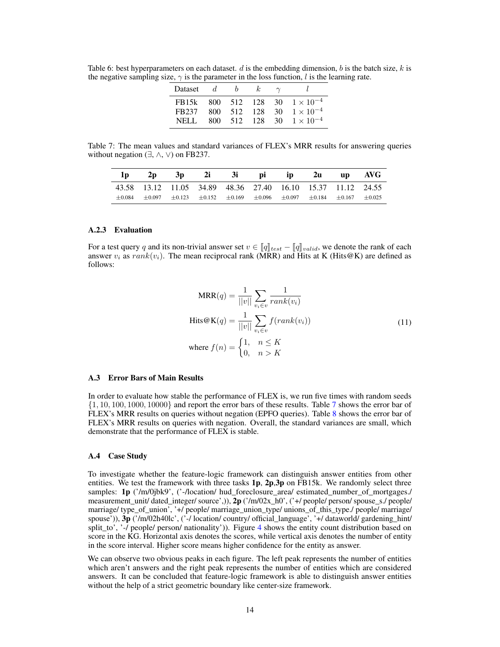<span id="page-13-2"></span>Table 6: best hyperparameters on each dataset. d is the embedding dimension, b is the batch size,  $k$  is the negative sampling size,  $\gamma$  is the parameter in the loss function, l is the learning rate.

| <b>Dataset</b> | d   |     |     |      |                                   |
|----------------|-----|-----|-----|------|-----------------------------------|
| FB15k          |     |     |     |      | 800 512 128 30 $1 \times 10^{-4}$ |
| FB237          | 800 | 512 | 128 | 30   | $1 \times 10^{-4}$                |
| NEL I          | 800 | 512 | 128 | 30 F | $1 \times 10^{-4}$                |

<span id="page-13-3"></span>Table 7: The mean values and standard variances of FLEX's MRR results for answering queries without negation  $(\exists, \wedge, \vee)$  on FB237.

| 1 <sub>p</sub> |  |  | $2p \quad 3p \quad 2i \quad 3i \quad pi \quad ip \quad 2u \quad up \quad AVG$                                           |  |  |
|----------------|--|--|-------------------------------------------------------------------------------------------------------------------------|--|--|
|                |  |  | 43.58 13.12 11.05 34.89 48.36 27.40 16.10 15.37 11.12 24.55                                                             |  |  |
|                |  |  | $\pm 0.084$ $\pm 0.097$ $\pm 0.123$ $\pm 0.152$ $\pm 0.169$ $\pm 0.096$ $\pm 0.097$ $\pm 0.184$ $\pm 0.167$ $\pm 0.025$ |  |  |

# <span id="page-13-0"></span>A.2.3 Evaluation

For a test query q and its non-trivial answer set  $v \in [q]_{test} - [q]_{valid}$ , we denote the rank of each answer  $v_i$  as  $rank(v_i)$ . The mean reciprocal rank (MRR) and Hits at K (Hits@K) are defined as follows:

$$
MRR(q) = \frac{1}{||v||} \sum_{v_i \in v} \frac{1}{rank(v_i)}
$$
  
\n
$$
Hits@K(q) = \frac{1}{||v||} \sum_{v_i \in v} f(rank(v_i))
$$
  
\nwhere  $f(n) = \begin{cases} 1, & n \leq K \\ 0, & n > K \end{cases}$  (11)

# <span id="page-13-1"></span>A.3 Error Bars of Main Results

In order to evaluate how stable the performance of FLEX is, we run five times with random seeds  $\{1, 10, 100, 1000, 10000\}$  and report the error bars of these results. Table [7](#page-13-3) shows the error bar of FLEX's MRR results on queries without negation (EPFO queries). Table [8](#page-14-1) shows the error bar of FLEX's MRR results on queries with negation. Overall, the standard variances are small, which demonstrate that the performance of FLEX is stable.

#### A.4 Case Study

To investigate whether the feature-logic framework can distinguish answer entities from other entities. We test the framework with three tasks  $1p$ ,  $2p$ ,  $3p$  on FB15k. We randomly select three samples: 1p ('/m/0jbk9', ('-/location/ hud\_foreclosure\_area/ estimated\_number\_of\_mortgages./ measurement\_unit/ dated\_integer/ source',)), 2p ('/m/02x\_h0', ('+/ people/ person/ spouse\_s./ people/ marriage/ type\_of\_union', '+/ people/ marriage\_union\_type/ unions\_of\_this\_type./ people/ marriage/ spouse')), 3p ('/m/02h40lc', ('-/ location/ country/ official\_language', '+/ dataworld/ gardening\_hint/ split\_to', '-/ people/ person/ nationality')). Figure [4](#page-14-2) shows the entity count distribution based on score in the KG. Horizontal axis denotes the scores, while vertical axis denotes the number of entity in the score interval. Higher score means higher confidence for the entity as answer.

We can observe two obvious peaks in each figure. The left peak represents the number of entities which aren't answers and the right peak represents the number of entities which are considered answers. It can be concluded that feature-logic framework is able to distinguish answer entities without the help of a strict geometric boundary like center-size framework.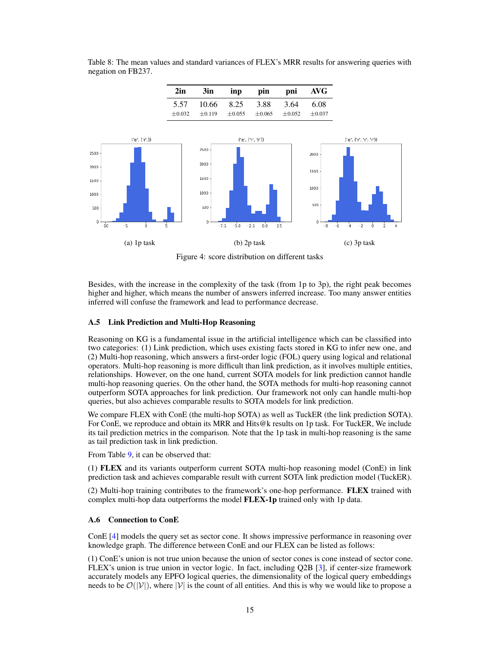<span id="page-14-2"></span>

<span id="page-14-1"></span>Table 8: The mean values and standard variances of FLEX's MRR results for answering queries with negation on FB237.

Figure 4: score distribution on different tasks

Besides, with the increase in the complexity of the task (from 1p to 3p), the right peak becomes higher and higher, which means the number of answers inferred increase. Too many answer entities inferred will confuse the framework and lead to performance decrease.

# <span id="page-14-0"></span>A.5 Link Prediction and Multi-Hop Reasoning

Reasoning on KG is a fundamental issue in the artificial intelligence which can be classified into two categories: (1) Link prediction, which uses existing facts stored in KG to infer new one, and (2) Multi-hop reasoning, which answers a first-order logic (FOL) query using logical and relational operators. Multi-hop reasoning is more difficult than link prediction, as it involves multiple entities, relationships. However, on the one hand, current SOTA models for link prediction cannot handle multi-hop reasoning queries. On the other hand, the SOTA methods for multi-hop reasoning cannot outperform SOTA approaches for link prediction. Our framework not only can handle multi-hop queries, but also achieves comparable results to SOTA models for link prediction.

We compare FLEX with ConE (the multi-hop SOTA) as well as TuckER (the link prediction SOTA). For ConE, we reproduce and obtain its MRR and Hits@k results on 1p task. For TuckER, We include its tail prediction metrics in the comparison. Note that the 1p task in multi-hop reasoning is the same as tail prediction task in link prediction.

From Table [9,](#page-15-1) it can be observed that:

(1) FLEX and its variants outperform current SOTA multi-hop reasoning model (ConE) in link prediction task and achieves comparable result with current SOTA link prediction model (TuckER).

(2) Multi-hop training contributes to the framework's one-hop performance. FLEX trained with complex multi-hop data outperforms the model FLEX-1p trained only with 1p data.

# A.6 Connection to ConE

ConE [\[4\]](#page-9-3) models the query set as sector cone. It shows impressive performance in reasoning over knowledge graph. The difference between ConE and our FLEX can be listed as follows:

(1) ConE's union is not true union because the union of sector cones is cone instead of sector cone. FLEX's union is true union in vector logic. In fact, including Q2B [\[3\]](#page-9-2), if center-size framework accurately models any EPFO logical queries, the dimensionality of the logical query embeddings needs to be  $\mathcal{O}(|\mathcal{V}|)$ , where  $|\mathcal{V}|$  is the count of all entities. And this is why we would like to propose a